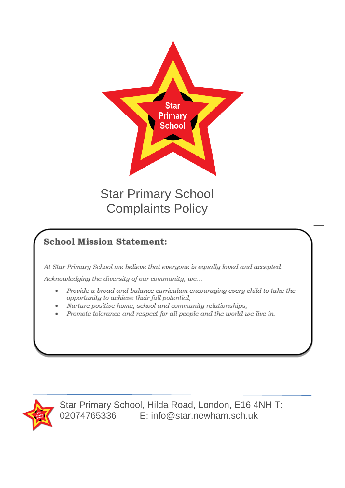

Star Primary School Complaints Policy

# **School Mission Statement:**

At Star Primary School we believe that everyone is equally loved and accepted.

Acknowledging the diversity of our community, we...

- Provide a broad and balance curriculum encouraging every child to take the  $\bullet$ opportunity to achieve their full potential;
- Nurture positive home, school and community relationships;
- Promote tolerance and respect for all people and the world we live in.



Star Primary School, Hilda Road, London, E16 4NH T: 02074765336 E: info@star.newham.sch.uk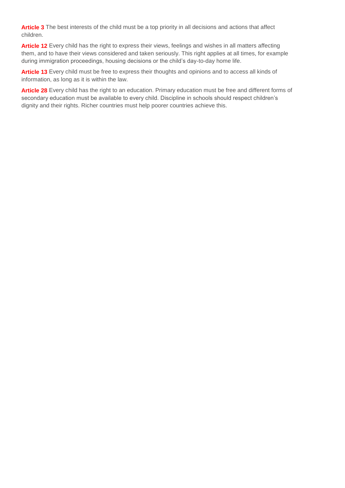**Article 3** The best interests of the child must be a top priority in all decisions and actions that affect children.

**Article 12** Every child has the right to express their views, feelings and wishes in all matters affecting them, and to have their views considered and taken seriously. This right applies at all times, for example during immigration proceedings, housing decisions or the child's day-to-day home life.

**Article 13** Every child must be free to express their thoughts and opinions and to access all kinds of information, as long as it is within the law.

**Article 28** Every child has the right to an education. Primary education must be free and different forms of secondary education must be available to every child. Discipline in schools should respect children's dignity and their rights. Richer countries must help poorer countries achieve this.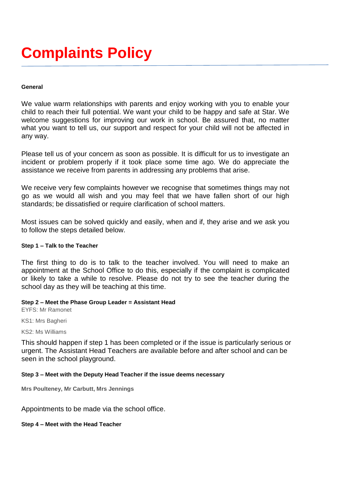# **Complaints Policy**

#### **General**

We value warm relationships with parents and enjoy working with you to enable your child to reach their full potential. We want your child to be happy and safe at Star. We welcome suggestions for improving our work in school. Be assured that, no matter what you want to tell us, our support and respect for your child will not be affected in any way.

Please tell us of your concern as soon as possible. It is difficult for us to investigate an incident or problem properly if it took place some time ago. We do appreciate the assistance we receive from parents in addressing any problems that arise.

We receive very few complaints however we recognise that sometimes things may not go as we would all wish and you may feel that we have fallen short of our high standards; be dissatisfied or require clarification of school matters.

Most issues can be solved quickly and easily, when and if, they arise and we ask you to follow the steps detailed below.

#### **Step 1 – Talk to the Teacher**

The first thing to do is to talk to the teacher involved. You will need to make an appointment at the School Office to do this, especially if the complaint is complicated or likely to take a while to resolve. Please do not try to see the teacher during the school day as they will be teaching at this time.

#### **Step 2 – Meet the Phase Group Leader = Assistant Head**

EYFS: Mr Ramonet

KS1: Mrs Bagheri

KS2: Ms Williams

This should happen if step 1 has been completed or if the issue is particularly serious or urgent. The Assistant Head Teachers are available before and after school and can be seen in the school playground.

#### **Step 3 – Meet with the Deputy Head Teacher if the issue deems necessary**

**Mrs Poulteney, Mr Carbutt, Mrs Jennings**

Appointments to be made via the school office.

**Step 4 – Meet with the Head Teacher**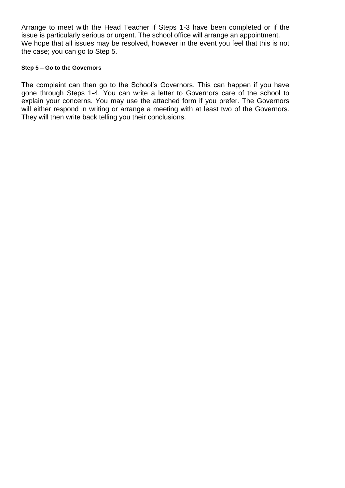Arrange to meet with the Head Teacher if Steps 1-3 have been completed or if the issue is particularly serious or urgent. The school office will arrange an appointment. We hope that all issues may be resolved, however in the event you feel that this is not the case; you can go to Step 5.

### **Step 5 – Go to the Governors**

The complaint can then go to the School's Governors. This can happen if you have gone through Steps 1-4. You can write a letter to Governors care of the school to explain your concerns. You may use the attached form if you prefer. The Governors will either respond in writing or arrange a meeting with at least two of the Governors. They will then write back telling you their conclusions.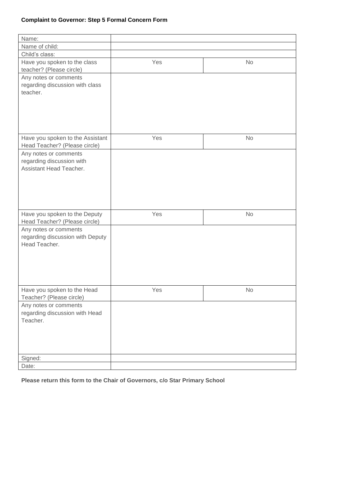## **Complaint to Governor: Step 5 Formal Concern Form**

| Name:                                                |     |           |
|------------------------------------------------------|-----|-----------|
| Name of child:                                       |     |           |
| Child's class:                                       |     |           |
| Have you spoken to the class                         | Yes | No        |
| teacher? (Please circle)                             |     |           |
| Any notes or comments                                |     |           |
| regarding discussion with class                      |     |           |
| teacher.                                             |     |           |
|                                                      |     |           |
|                                                      |     |           |
|                                                      |     |           |
|                                                      |     |           |
|                                                      |     |           |
| Have you spoken to the Assistant                     | Yes | No        |
| Head Teacher? (Please circle)                        |     |           |
| Any notes or comments                                |     |           |
| regarding discussion with<br>Assistant Head Teacher. |     |           |
|                                                      |     |           |
|                                                      |     |           |
|                                                      |     |           |
|                                                      |     |           |
|                                                      |     |           |
| Have you spoken to the Deputy                        | Yes | No        |
| Head Teacher? (Please circle)                        |     |           |
| Any notes or comments                                |     |           |
| regarding discussion with Deputy                     |     |           |
| Head Teacher.                                        |     |           |
|                                                      |     |           |
|                                                      |     |           |
|                                                      |     |           |
|                                                      |     |           |
|                                                      |     |           |
| Have you spoken to the Head                          | Yes | <b>No</b> |
| Teacher? (Please circle)                             |     |           |
| Any notes or comments                                |     |           |
| regarding discussion with Head                       |     |           |
| Teacher.                                             |     |           |
|                                                      |     |           |
|                                                      |     |           |
|                                                      |     |           |
|                                                      |     |           |
| Signed:                                              |     |           |
| Date:                                                |     |           |

**Please return this form to the Chair of Governors, c/o Star Primary School**